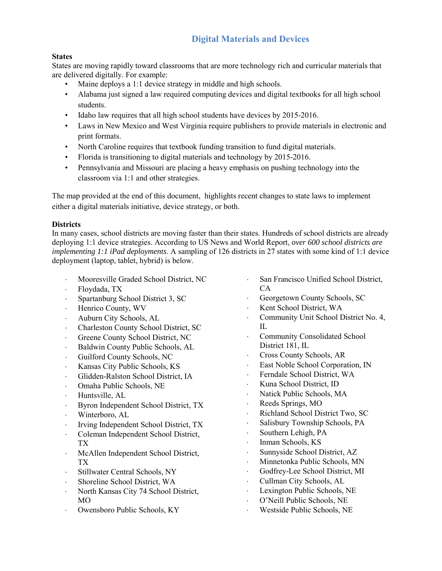## **Digital Materials and Devices**

#### **States**

States are moving rapidly toward classrooms that are more technology rich and curricular materials that are delivered digitally. For example:

- Maine deploys a 1:1 device strategy in middle and high schools.
- Alabama just signed a law required computing devices and digital textbooks for all high school students.
- Idaho law requires that all high school students have devices by 2015-2016.
- Laws in New Mexico and West Virginia require publishers to provide materials in electronic and print formats.
- North Caroline requires that textbook funding transition to fund digital materials.
- Florida is transitioning to digital materials and technology by 2015-2016.
- Pennsylvania and Missouri are placing a heavy emphasis on pushing technology into the classroom via 1:1 and other strategies.

The map provided at the end of this document, highlights recent changes to state laws to implement either a digital materials initiative, device strategy, or both.

#### **Districts**

In many cases, school districts are moving faster than their states. Hundreds of school districts are already deploying 1:1 device strategies. According to US News and World Report, *over 600 school districts are implementing 1:1 iPad deployments*. A sampling of 126 districts in 27 states with some kind of 1:1 device deployment (laptop, tablet, hybrid) is below.

- ⋅ Mooresville Graded School District, NC
- ⋅ Floydada, TX
- ⋅ Spartanburg School District 3, SC
- ⋅ Henrico County, WV
- ⋅ Auburn City Schools, AL
- ⋅ Charleston County School District, SC
- ⋅ Greene County School District, NC
- ⋅ Baldwin County Public Schools, AL
- ⋅ Guilford County Schools, NC
- ⋅ Kansas City Public Schools, KS
- ⋅ Glidden-Ralston School District, IA
- ⋅ Omaha Public Schools, NE
- ⋅ Huntsville, AL
- ⋅ Byron Independent School District, TX
- ⋅ Winterboro, AL
- ⋅ Irving Independent School District, TX
- ⋅ Coleman Independent School District, TX
- ⋅ McAllen Independent School District, TX
- Stillwater Central Schools, NY
- Shoreline School District, WA
- ⋅ North Kansas City 74 School District, MO
- ⋅ Owensboro Public Schools, KY
- ⋅ San Francisco Unified School District, CA
- ⋅ Georgetown County Schools, SC
- ⋅ Kent School District, WA
- ⋅ Community Unit School District No. 4,  $\Pi$ .
- ⋅ Community Consolidated School District 181, IL
- ⋅ Cross County Schools, AR
- East Noble School Corporation, IN
- ⋅ Ferndale School District, WA
- ⋅ Kuna School District, ID
- ⋅ Natick Public Schools, MA
- Reeds Springs, MO
- ⋅ Richland School District Two, SC
- ⋅ Salisbury Township Schools, PA
- Southern Lehigh, PA
- ⋅ Inman Schools, KS
- ⋅ Sunnyside School District, AZ
- ⋅ Minnetonka Public Schools, MN
- ⋅ Godfrey-Lee School District, MI
- ⋅ Cullman City Schools, AL
- ⋅ Lexington Public Schools, NE
- ⋅ O'Neill Public Schools, NE
- ⋅ Westside Public Schools, NE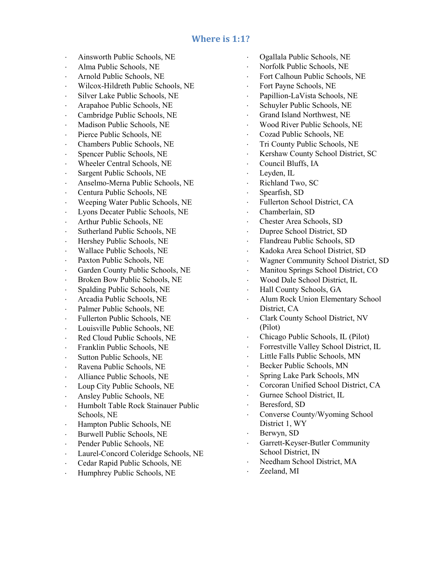### **Where is 1:1?**

- ⋅ Ainsworth Public Schools, NE
- ⋅ Alma Public Schools, NE
- ⋅ Arnold Public Schools, NE
- ⋅ Wilcox-Hildreth Public Schools, NE
- ⋅ Silver Lake Public Schools, NE
- ⋅ Arapahoe Public Schools, NE
- ⋅ Cambridge Public Schools, NE
- ⋅ Madison Public Schools, NE
- ⋅ Pierce Public Schools, NE
- ⋅ Chambers Public Schools, NE
- ⋅ Spencer Public Schools, NE
- ⋅ Wheeler Central Schools, NE
- ⋅ Sargent Public Schools, NE
- ⋅ Anselmo-Merna Public Schools, NE
- ⋅ Centura Public Schools, NE
- ⋅ Weeping Water Public Schools, NE
- ⋅ Lyons Decater Public Schools, NE
- ⋅ Arthur Public Schools, NE
- ⋅ Sutherland Public Schools, NE
- ⋅ Hershey Public Schools, NE
- Wallace Public Schools, NE
- ⋅ Paxton Public Schools, NE
- ⋅ Garden County Public Schools, NE
- ⋅ Broken Bow Public Schools, NE
- Spalding Public Schools, NE
- ⋅ Arcadia Public Schools, NE
- ⋅ Palmer Public Schools, NE
- ⋅ Fullerton Public Schools, NE
- ⋅ Louisville Public Schools, NE
- ⋅ Red Cloud Public Schools, NE
- ⋅ Franklin Public Schools, NE
- Sutton Public Schools, NE
- ⋅ Ravena Public Schools, NE
- ⋅ Alliance Public Schools, NE
- ⋅ Loup City Public Schools, NE
- ⋅ Ansley Public Schools, NE
- ⋅ Humbolt Table Rock Stainauer Public Schools, NE
- ⋅ Hampton Public Schools, NE
- ⋅ Burwell Public Schools, NE
- ⋅ Pender Public Schools, NE
- ⋅ Laurel-Concord Coleridge Schools, NE
- ⋅ Cedar Rapid Public Schools, NE
- ⋅ Humphrey Public Schools, NE
- ⋅ Ogallala Public Schools, NE
- Norfolk Public Schools, NE
- ⋅ Fort Calhoun Public Schools, NE
- Fort Payne Schools, NE
- Papillion-LaVista Schools, NE
- Schuyler Public Schools, NE
- Grand Island Northwest, NE
- Wood River Public Schools, NE
- ⋅ Cozad Public Schools, NE
- ⋅ Tri County Public Schools, NE
- ⋅ Kershaw County School District, SC
- ⋅ Council Bluffs, IA
- Leyden, IL
- Richland Two, SC
- Spearfish, SD
- ⋅ Fullerton School District, CA
- ⋅ Chamberlain, SD
- ⋅ Chester Area Schools, SD
- ⋅ Dupree School District, SD
- ⋅ Flandreau Public Schools, SD
- ⋅ Kadoka Area School District, SD
- ⋅ Wagner Community School District, SD
- ⋅ Manitou Springs School District, CO
- ⋅ Wood Dale School District, IL
- ⋅ Hall County Schools, GA
- ⋅ Alum Rock Union Elementary School District, CA
- ⋅ Clark County School District, NV (Pilot)
- ⋅ Chicago Public Schools, IL (Pilot)
- ⋅ Forrestville Valley School District, IL
- ⋅ Little Falls Public Schools, MN
- Becker Public Schools, MN
- ⋅ Spring Lake Park Schools, MN
- ⋅ Corcoran Unified School District, CA
- Gurnee School District, IL
- ⋅ Beresford, SD
- ⋅ Converse County/Wyoming School District 1, WY
- Berwyn, SD
- ⋅ Garrett-Keyser-Butler Community School District, IN
- Needham School District, MA
- Zeeland, MI